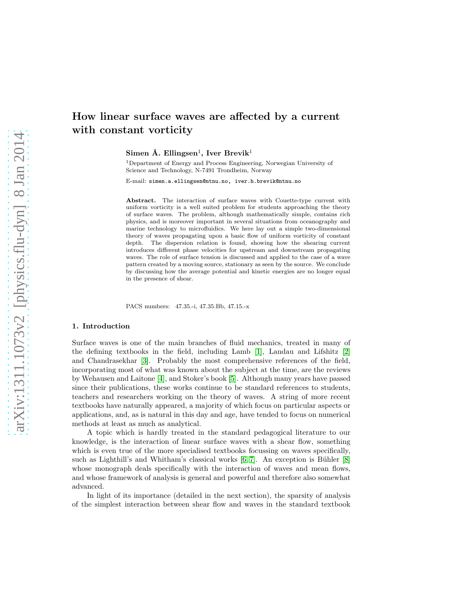# How linear surface waves are affected by a current with constant vorticity

 $\rm Simen~\AA.~Ellingsen^1,~Iver~Brevik^1$ 

<sup>1</sup>Department of Energy and Process Engineering, Norwegian University of Science and Technology, N-7491 Trondheim, Norway

E-mail: simen.a.ellingsen@ntnu.no, iver.h.brevik@ntnu.no

Abstract. The interaction of surface waves with Couette-type current with uniform vorticity is a well suited problem for students approaching the theory of surface waves. The problem, although mathematically simple, contains rich physics, and is moreover important in several situations from oceanography and marine technology to microfluidics. We here lay out a simple two-dimensional theory of waves propagating upon a basic flow of uniform vorticity of constant depth. The dispersion relation is found, showing how the shearing current introduces different phase velocities for upstream and downstream propagating waves. The role of surface tension is discussed and applied to the case of a wave pattern created by a moving source, stationary as seen by the source. We conclude by discussing how the average potential and kinetic energies are no longer equal in the presence of shear.

PACS numbers: 47.35.-i, 47.35.Bb, 47.15.-x

#### 1. Introduction

Surface waves is one of the main branches of fluid mechanics, treated in many of the defining textbooks in the field, including Lamb [\[1\]](#page-14-0), Landau and Lifshitz [\[2\]](#page-14-1) and Chandrasekhar [\[3\]](#page-14-2). Probably the most comprehensive references of the field, incorporating most of what was known about the subject at the time, are the reviews by Wehausen and Laitone [\[4\]](#page-14-3), and Stoker's book [\[5\]](#page-14-4). Although many years have passed since their publications, these works continue to be standard references to students, teachers and researchers working on the theory of waves. A string of more recent textbooks have naturally appeared, a majority of which focus on particular aspects or applications, and, as is natural in this day and age, have tended to focus on numerical methods at least as much as analytical.

A topic which is hardly treated in the standard pedagogical literature to our knowledge, is the interaction of linear surface waves with a shear flow, something which is even true of the more specialised textbooks focussing on waves specifically, such as Lighthill's and Whitham's classical works  $[6, 7]$  $[6, 7]$ . An exception is Bühler  $[8]$ whose monograph deals specifically with the interaction of waves and mean flows, and whose framework of analysis is general and powerful and therefore also somewhat advanced.

In light of its importance (detailed in the next section), the sparsity of analysis of the simplest interaction between shear flow and waves in the standard textbook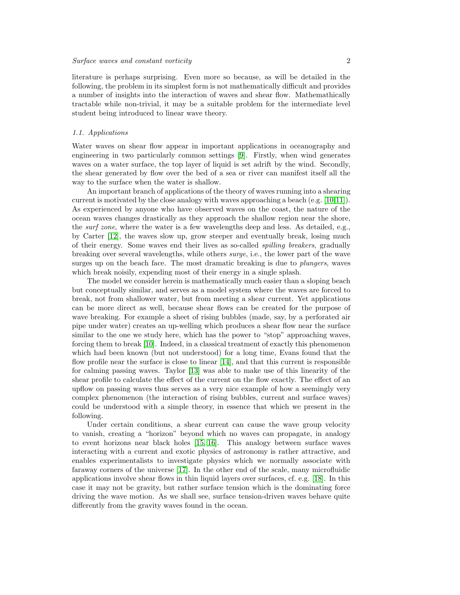literature is perhaps surprising. Even more so because, as will be detailed in the following, the problem in its simplest form is not mathematically difficult and provides a number of insights into the interaction of waves and shear flow. Mathemathically tractable while non-trivial, it may be a suitable problem for the intermediate level student being introduced to linear wave theory.

## 1.1. Applications

Water waves on shear flow appear in important applications in oceanography and engineering in two particularly common settings [\[9\]](#page-14-8). Firstly, when wind generates waves on a water surface, the top layer of liquid is set adrift by the wind. Secondly, the shear generated by flow over the bed of a sea or river can manifest itself all the way to the surface when the water is shallow.

An important branch of applications of the theory of waves running into a shearing current is motivated by the close analogy with waves approaching a beach  $(e.g. [10,11])$  $(e.g. [10,11])$  $(e.g. [10,11])$  $(e.g. [10,11])$ . As experienced by anyone who have observed waves on the coast, the nature of the ocean waves changes drastically as they approach the shallow region near the shore, the *surf zone*, where the water is a few wavelengths deep and less. As detailed, e.g., by Carter [\[12\]](#page-14-11), the waves slow up, grow steeper and eventually break, losing much of their energy. Some waves end their lives as so-called spilling breakers, gradually breaking over several wavelengths, while others surge, i.e., the lower part of the wave surges up on the beach face. The most dramatic breaking is due to *plungers*, waves which break noisily, expending most of their energy in a single splash.

The model we consider herein is mathematically much easier than a sloping beach but conceptually similar, and serves as a model system where the waves are forced to break, not from shallower water, but from meeting a shear current. Yet applications can be more direct as well, because shear flows can be created for the purpose of wave breaking. For example a sheet of rising bubbles (made, say, by a perforated air pipe under water) creates an up-welling which produces a shear flow near the surface similar to the one we study here, which has the power to "stop" approaching waves, forcing them to break [\[10\]](#page-14-9). Indeed, in a classical treatment of exactly this phenomenon which had been known (but not understood) for a long time, Evans found that the flow profile near the surface is close to linear  $[14]$ , and that this current is responsible for calming passing waves. Taylor [\[13\]](#page-14-13) was able to make use of this linearity of the shear profile to calculate the effect of the current on the flow exactly. The effect of an upflow on passing waves thus serves as a very nice example of how a seemingly very complex phenomenon (the interaction of rising bubbles, current and surface waves) could be understood with a simple theory, in essence that which we present in the following.

Under certain conditions, a shear current can cause the wave group velocity to vanish, creating a "horizon" beyond which no waves can propagate, in analogy to event horizons near black holes [\[15,](#page-14-14) [16\]](#page-14-15). This analogy between surface waves interacting with a current and exotic physics of astronomy is rather attractive, and enables experimentalists to investigate physics which we normally associate with faraway corners of the universe [\[17\]](#page-14-16). In the other end of the scale, many microfluidic applications involve shear flows in thin liquid layers over surfaces, cf. e.g. [\[18\]](#page-15-0). In this case it may not be gravity, but rather surface tension which is the dominating force driving the wave motion. As we shall see, surface tension-driven waves behave quite differently from the gravity waves found in the ocean.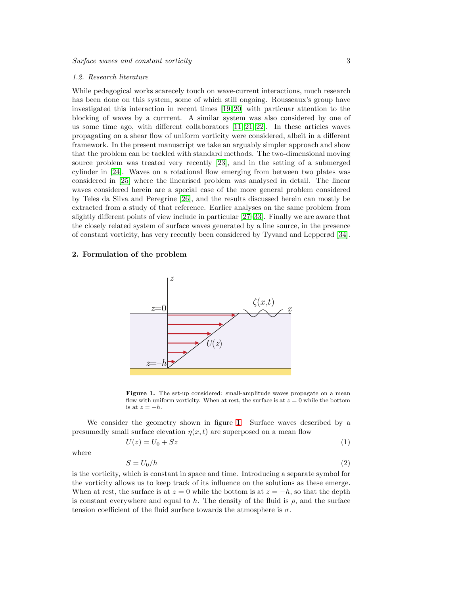#### 1.2. Research literature

While pedagogical works scarecely touch on wave-current interactions, much research has been done on this system, some of which still ongoing. Rousseaux's group have investigated this interaction in recent times [\[19,](#page-15-1) [20\]](#page-15-2) with particuar attention to the blocking of waves by a currrent. A similar system was also considered by one of us some time ago, with different collaborators  $[11, 21, 22]$  $[11, 21, 22]$  $[11, 21, 22]$ . In these articles waves propagating on a shear flow of uniform vorticity were considered, albeit in a different framework. In the present manuscript we take an arguably simpler approach and show that the problem can be tackled with standard methods. The two-dimensional moving source problem was treated very recently [\[23\]](#page-15-5), and in the setting of a submerged cylinder in [\[24\]](#page-15-6). Waves on a rotational flow emerging from between two plates was considered in [\[25\]](#page-15-7) where the linearised problem was analysed in detail. The linear waves considered herein are a special case of the more general problem considered by Teles da Silva and Peregrine [\[26\]](#page-15-8), and the results discussed herein can mostly be extracted from a study of that reference. Earlier analyses on the same problem from slightly different points of view include in particular [\[27](#page-15-9)[–33\]](#page-15-10). Finally we are aware that the closely related system of surface waves generated by a line source, in the presence of constant vorticity, has very recently been considered by Tyvand and Lepperød [\[34\]](#page-15-11).

## 2. Formulation of the problem



<span id="page-2-0"></span>Figure 1. The set-up considered: small-amplitude waves propagate on a mean flow with uniform vorticity. When at rest, the surface is at  $z = 0$  while the bottom is at  $z = -h$ .

We consider the geometry shown in figure [1.](#page-2-0) Surface waves described by a presumedly small surface elevation  $\eta(x, t)$  are superposed on a mean flow

$$
U(z) = U_0 + Sz \tag{1}
$$

where

$$
S = U_0 / h \tag{2}
$$

is the vorticity, which is constant in space and time. Introducing a separate symbol for the vorticity allows us to keep track of its influence on the solutions as these emerge. When at rest, the surface is at  $z = 0$  while the bottom is at  $z = -h$ , so that the depth is constant everywhere and equal to h. The density of the fluid is  $\rho$ , and the surface tension coefficient of the fluid surface towards the atmosphere is  $\sigma$ .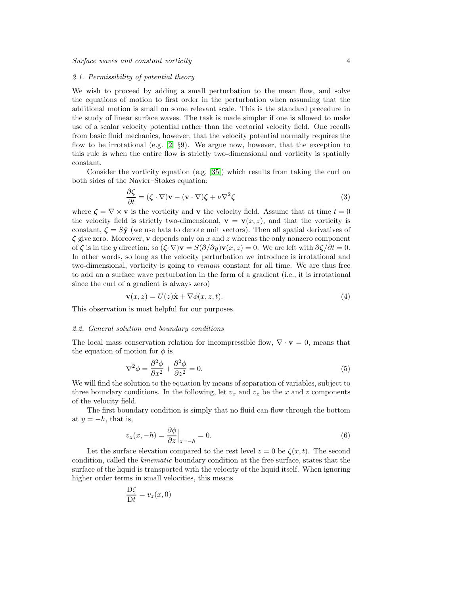#### 2.1. Permissibility of potential theory

We wish to proceed by adding a small perturbation to the mean flow, and solve the equations of motion to first order in the perturbation when assuming that the additional motion is small on some relevant scale. This is the standard precedure in the study of linear surface waves. The task is made simpler if one is allowed to make use of a scalar velocity potential rather than the vectorial velocity field. One recalls from basic fluid mechanics, however, that the velocity potential normally requires the flow to be irrotational (e.g.  $[2]$  §9). We argue now, however, that the exception to this rule is when the entire flow is strictly two-dimensional and vorticity is spatially constant.

Consider the vorticity equation (e.g. [\[35\]](#page-15-12)) which results from taking the curl on both sides of the Navier–Stokes equation:

$$
\frac{\partial \zeta}{\partial t} = (\zeta \cdot \nabla) \mathbf{v} - (\mathbf{v} \cdot \nabla) \zeta + \nu \nabla^2 \zeta \tag{3}
$$

where  $\zeta = \nabla \times \mathbf{v}$  is the vorticity and **v** the velocity field. Assume that at time  $t = 0$ the velocity field is strictly two-dimensional,  $\mathbf{v} = \mathbf{v}(x, z)$ , and that the vorticity is constant,  $\zeta = S\hat{y}$  (we use hats to denote unit vectors). Then all spatial derivatives of  $\zeta$  give zero. Moreover, v depends only on x and z whereas the only nonzero component of  $\zeta$  is in the y direction, so  $(\zeta \cdot \nabla) \mathbf{v} = S(\partial/\partial y) \mathbf{v}(x, z) = 0$ . We are left with  $\partial \zeta / \partial t = 0$ . In other words, so long as the velocity perturbation we introduce is irrotational and two-dimensional, vorticity is going to *remain* constant for all time. We are thus free to add an a surface wave perturbation in the form of a gradient (i.e., it is irrotational since the curl of a gradient is always zero)

$$
\mathbf{v}(x,z) = U(z)\hat{\mathbf{x}} + \nabla\phi(x,z,t). \tag{4}
$$

This observation is most helpful for our purposes.

#### 2.2. General solution and boundary conditions

The local mass conservation relation for incompressible flow,  $\nabla \cdot \mathbf{v} = 0$ , means that the equation of motion for  $\phi$  is

<span id="page-3-0"></span>
$$
\nabla^2 \phi = \frac{\partial^2 \phi}{\partial x^2} + \frac{\partial^2 \phi}{\partial z^2} = 0.
$$
\n(5)

We will find the solution to the equation by means of separation of variables, subject to three boundary conditions. In the following, let  $v_x$  and  $v_z$  be the x and z components of the velocity field.

The first boundary condition is simply that no fluid can flow through the bottom at  $y = -h$ , that is,

<span id="page-3-1"></span>
$$
v_z(x, -h) = \frac{\partial \phi}{\partial z}\Big|_{z=-h} = 0.
$$
\n(6)

Let the surface elevation compared to the rest level  $z = 0$  be  $\zeta(x, t)$ . The second condition, called the *kinematic* boundary condition at the free surface, states that the surface of the liquid is transported with the velocity of the liquid itself. When ignoring higher order terms in small velocities, this means

$$
\frac{\mathrm{D}\zeta}{\mathrm{D}t} = v_z(x,0)
$$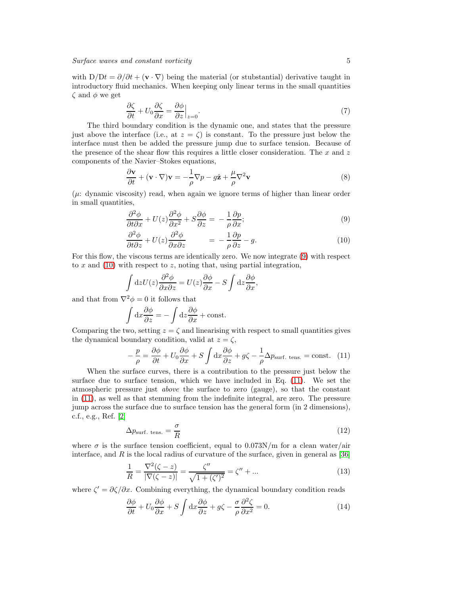with  $D/Dt = \partial/\partial t + (\mathbf{v} \cdot \nabla)$  being the material (or stubstantial) derivative taught in introductory fluid mechanics. When keeping only linear terms in the small quantities  $\zeta$  and  $\phi$  we get

<span id="page-4-2"></span>
$$
\frac{\partial \zeta}{\partial t} + U_0 \frac{\partial \zeta}{\partial x} = \frac{\partial \phi}{\partial z}\Big|_{z=0}.
$$
\n(7)

The third boundary condition is the dynamic one, and states that the pressure just above the interface (i.e., at  $z = \zeta$ ) is constant. To the pressure just below the interface must then be added the pressure jump due to surface tension. Because of the presence of the shear flow this requires a little closer consideration. The  $x$  and  $z$ components of the Navier–Stokes equations,

$$
\frac{\partial \mathbf{v}}{\partial t} + (\mathbf{v} \cdot \nabla) \mathbf{v} = -\frac{1}{\rho} \nabla p - g \hat{\mathbf{z}} + \frac{\mu}{\rho} \nabla^2 \mathbf{v}
$$
\n(8)

 $(\mu:$  dynamic viscosity) read, when again we ignore terms of higher than linear order in small quantities,

<span id="page-4-0"></span>
$$
\frac{\partial^2 \phi}{\partial t \partial x} + U(z) \frac{\partial^2 \phi}{\partial x^2} + S \frac{\partial \phi}{\partial z} = -\frac{1}{\rho} \frac{\partial p}{\partial x};\tag{9}
$$

$$
\frac{\partial^2 \phi}{\partial t \partial z} + U(z) \frac{\partial^2 \phi}{\partial x \partial z} = -\frac{1}{\rho} \frac{\partial p}{\partial z} - g.
$$
 (10)

For this flow, the viscous terms are identically zero. We now integrate [\(9\)](#page-4-0) with respect to x and [\(10\)](#page-4-0) with respect to z, noting that, using partial integration,

$$
\int dz U(z) \frac{\partial^2 \phi}{\partial x \partial z} = U(z) \frac{\partial \phi}{\partial x} - S \int dz \frac{\partial \phi}{\partial x},
$$

and that from  $\nabla^2 \phi = 0$  it follows that

$$
\int dx \frac{\partial \phi}{\partial z} = -\int dz \frac{\partial \phi}{\partial x} + \text{const.}
$$

Comparing the two, setting  $z = \zeta$  and linearising with respect to small quantities gives the dynamical boundary condition, valid at  $z = \zeta$ ,

<span id="page-4-1"></span>
$$
-\frac{p}{\rho} = \frac{\partial \phi}{\partial t} + U_0 \frac{\partial \phi}{\partial x} + S \int dx \frac{\partial \phi}{\partial z} + g\zeta - \frac{1}{\rho} \Delta p_{\text{surf. tens.}} = \text{const.} \tag{11}
$$

When the surface curves, there is a contribution to the pressure just below the surface due to surface tension, which we have included in Eq. [\(11\)](#page-4-1). We set the atmospheric pressure just above the surface to zero (gauge), so that the constant in [\(11\)](#page-4-1), as well as that stemming from the indefinite integral, are zero. The pressure jump across the surface due to surface tension has the general form (in 2 dimensions), c.f., e.g., Ref. [\[2\]](#page-14-1)

$$
\Delta p_{\text{surf. tens.}} = \frac{\sigma}{R} \tag{12}
$$

where  $\sigma$  is the surface tension coefficient, equal to 0.073N/m for a clean water/air interface, and  $R$  is the local radius of curvature of the surface, given in general as  $[36]$ 

$$
\frac{1}{R} = \frac{\nabla^2(\zeta - z)}{|\nabla(\zeta - z)|} = \frac{\zeta''}{\sqrt{1 + (\zeta')^2}} = \zeta'' + \dots
$$
\n(13)

where  $\zeta' = \partial \zeta / \partial x$ . Combining everything, the dynamical boundary condition reads

<span id="page-4-3"></span>
$$
\frac{\partial \phi}{\partial t} + U_0 \frac{\partial \phi}{\partial x} + S \int \mathrm{d}x \frac{\partial \phi}{\partial z} + g\zeta - \frac{\sigma}{\rho} \frac{\partial^2 \zeta}{\partial x^2} = 0. \tag{14}
$$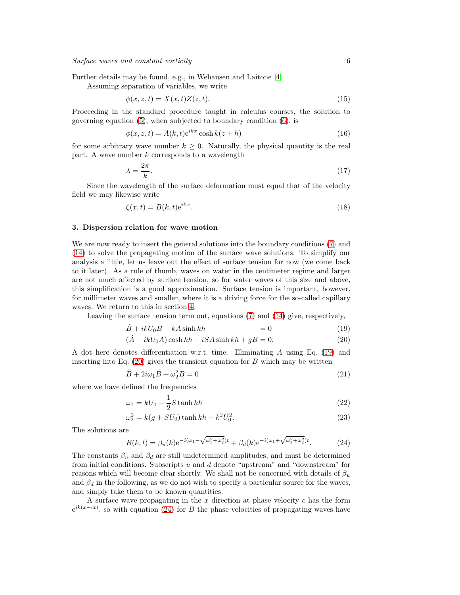Surface waves and constant vorticity 6

Further details may be found, e.g., in Wehausen and Laitone [\[4\]](#page-14-3).

Assuming separation of variables, we write

$$
\phi(x, z, t) = X(x, t)Z(z, t). \tag{15}
$$

Proceeding in the standard procedure taught in calculus courses, the solution to governing equation [\(5\)](#page-3-0), when subjected to boundary condition [\(6\)](#page-3-1), is

$$
\phi(x, z, t) = A(k, t)e^{ikx}\cosh k(z + h)
$$
\n(16)

for some arbitrary wave number  $k \geq 0$ . Naturally, the physical quantity is the real part. A wave number  $k$  corresponds to a wavelength

$$
\lambda = \frac{2\pi}{k}.\tag{17}
$$

Since the wavelength of the surface deformation must equal that of the velocity field we may likewise write

$$
\zeta(x,t) = B(k,t)e^{ikx}.\tag{18}
$$

#### <span id="page-5-2"></span>3. Dispersion relation for wave motion

We are now ready to insert the general solutions into the boundary conditions [\(7\)](#page-4-2) and [\(14\)](#page-4-3) to solve the propagating motion of the surface wave solutions. To simplify our analysis a little, let us leave out the effect of surface tension for now (we come back to it later). As a rule of thumb, waves on water in the centimeter regime and larger are not much affected by surface tension, so for water waves of this size and above, this simplification is a good approximation. Surface tension is important, however, for millimeter waves and smaller, where it is a driving force for the so-called capillary waves. We return to this in section [4.](#page-8-0)

Leaving the surface tension term out, equations [\(7\)](#page-4-2) and [\(14\)](#page-4-3) give, respectively,

<span id="page-5-0"></span>
$$
\dot{B} + ikU_0B - kA\sinh kh = 0 \tag{19}
$$

$$
(\dot{A} + ikU_0A)\cosh kh - iSA\sinh kh + gB = 0.
$$
\n(20)

A dot here denotes differentiation w.r.t. time. Eliminating A using Eq. [\(19\)](#page-5-0) and inserting into Eq.  $(20)$  gives the transient equation for B which may be written

$$
\ddot{B} + 2i\omega_1 \dot{B} + \omega_2^2 B = 0 \tag{21}
$$

where we have defined the frequencies

$$
\omega_1 = kU_0 - \frac{1}{2}S \tanh kh \tag{22}
$$

$$
\omega_2^2 = k(g + SU_0) \tanh kh - k^2 U_0^2. \tag{23}
$$

The solutions are

<span id="page-5-1"></span>
$$
B(k,t) = \beta_u(k)e^{-i(\omega_1 - \sqrt{\omega_1^2 + \omega_2^2})t} + \beta_d(k)e^{-i(\omega_1 + \sqrt{\omega_1^2 + \omega_2^2})t}.
$$
 (24)

The constants  $\beta_u$  and  $\beta_d$  are still undetermined amplitudes, and must be determined from initial conditions. Subscripts  $u$  and  $d$  denote "upstream" and "downstream" for reasons which will become clear shortly. We shall not be concerned with details of  $\beta_u$ and  $\beta_d$  in the following, as we do not wish to specify a particular source for the waves, and simply take them to be known quantities.

A surface wave propagating in the  $x$  direction at phase velocity  $c$  has the form  $e^{ik(x-ct)}$ , so with equation [\(24\)](#page-5-1) for B the phase velocities of propagating waves have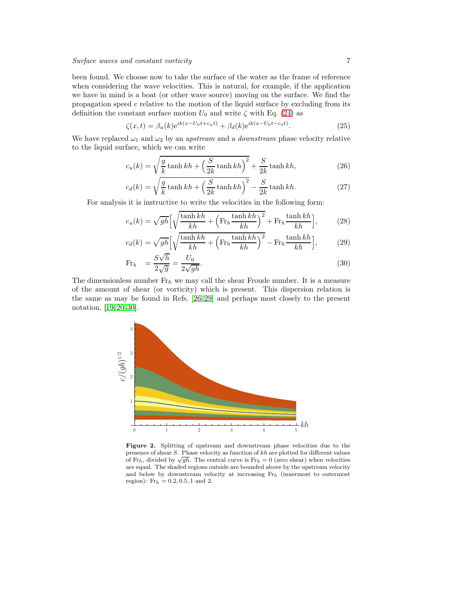been found. We choose now to take the surface of the water as the frame of reference when considering the wave velocities. This is natural, for example, if the application we have in mind is a boat (or other wave source) moving on the surface. We find the propagation speed c relative to the motion of the liquid surface by excluding from its definition the constant surface motion  $U_0$  and write  $\zeta$  with Eq. [\(24\)](#page-5-1) as

$$
\zeta(x,t) = \beta_u(k)e^{ik(x-U_0t + c_u t)} + \beta_d(k)e^{ik(x-U_0t - c_d t)}.
$$
\n(25)

We have replaced  $\omega_1$  and  $\omega_2$  by an upstream and a *downstream* phase velocity relative to the liquid surface, which we can write

$$
c_u(k) = \sqrt{\frac{g}{k}\tanh kh + \left(\frac{S}{2k}\tanh kh\right)^2} + \frac{S}{2k}\tanh kh,
$$
\n(26)

$$
c_d(k) = \sqrt{\frac{g}{k}\tanh kh + \left(\frac{S}{2k}\tanh kh\right)^2} - \frac{S}{2k}\tanh kh.
$$
 (27)

For analysis it is instructive to write the velocities in the following form:

<span id="page-6-1"></span>
$$
c_u(k) = \sqrt{gh} \Big[ \sqrt{\frac{\tanh kh}{kh} + \left( \text{Fr}_h \frac{\tanh kh}{kh} \right)^2} + \text{Fr}_h \frac{\tanh kh}{kh} \Big],\tag{28}
$$

$$
c_d(k) = \sqrt{gh} \Big[ \sqrt{\frac{\tanh kh}{kh} + \left( \text{Fr}_h \frac{\tanh kh}{kh} \right)^2} - \text{Fr}_h \frac{\tanh kh}{kh} \Big],\tag{29}
$$

$$
\text{Fr}_h = \frac{S\sqrt{h}}{2\sqrt{g}} = \frac{U_0}{2\sqrt{gh}}.\tag{30}
$$

The dimensionless number  $\text{Fr}_h$  we may call the shear Froude number. It is a measure of the amount of shear (or vorticity) which is present. This dispersion relation is the same as may be found in Refs. [\[26,](#page-15-8) [29\]](#page-15-14) and perhaps most closely to the present notation, [\[19,](#page-15-1) [20,](#page-15-2) [30\]](#page-15-15).



<span id="page-6-0"></span>Figure 2. Splitting of upstream and downstream phase velocities due to the presence of shear S. Phase velocity as function of kh are plotted for different values of  $Fr_h$ , divided by  $\sqrt{gh}$ . The central curve is  $Fr_h = 0$  (zero shear) when velocities are equal. The shaded regions outside are bounded above by the upstream velocity and below by downstream velocity at increasing  $Fr_h$  (innermost to outermost region):  $Fr_h = 0.2, 0.5, 1$  and 2.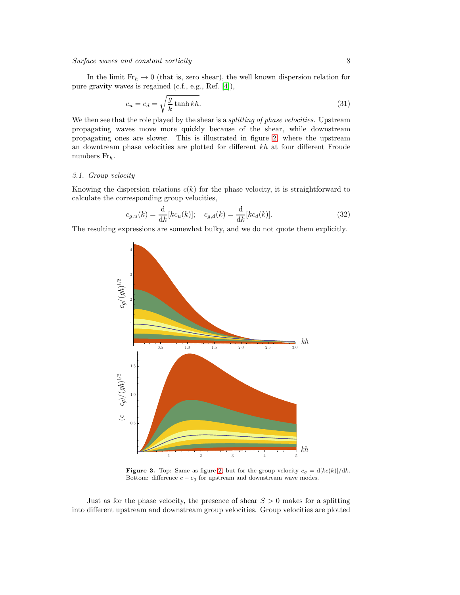In the limit  $Fr_h \to 0$  (that is, zero shear), the well known dispersion relation for pure gravity waves is regained (c.f., e.g., Ref. [\[4\]](#page-14-3)),

$$
c_u = c_d = \sqrt{\frac{g}{k} \tanh kh}.\tag{31}
$$

We then see that the role played by the shear is a *splitting of phase velocities*. Upstream propagating waves move more quickly because of the shear, while downstream propagating ones are slower. This is illustrated in figure [2,](#page-6-0) where the upstream an downtream phase velocities are plotted for different  $kh$  at four different Froude numbers  $Fr_h$ .

#### 3.1. Group velocity

Knowing the dispersion relations  $c(k)$  for the phase velocity, it is straightforward to calculate the corresponding group velocities,

$$
c_{g,u}(k) = \frac{d}{dk}[kc_u(k)]; \quad c_{g,d}(k) = \frac{d}{dk}[kc_d(k)].
$$
\n(32)

The resulting expressions are somewhat bulky, and we do not quote them explicitly.



<span id="page-7-0"></span>**Figure 3.** Top: Same as figure [2,](#page-6-0) but for the group velocity  $c_g = d[kc(k)]/dk$ . Bottom: difference  $c - c_g$  for upstream and downstream wave modes.

Just as for the phase velocity, the presence of shear  $S > 0$  makes for a splitting into different upstream and downstream group velocities. Group velocities are plotted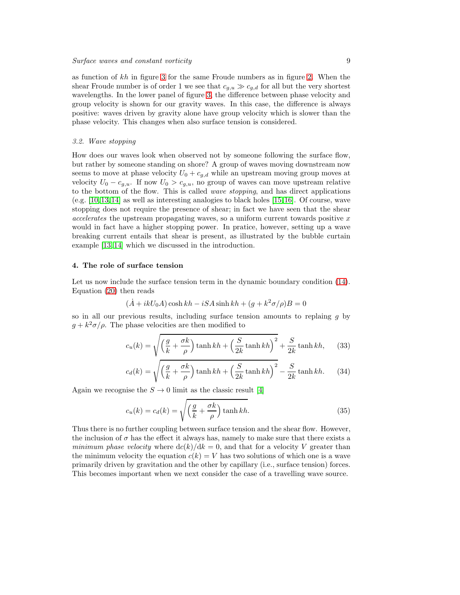as function of  $kh$  in figure [3](#page-7-0) for the same Froude numbers as in figure [2.](#page-6-0) When the shear Froude number is of order 1 we see that  $c_{g,u} \gg c_{g,d}$  for all but the very shortest wavelengths. In the lower panel of figure [3,](#page-7-0) the difference between phase velocity and group velocity is shown for our gravity waves. In this case, the difference is always positive: waves driven by gravity alone have group velocity which is slower than the phase velocity. This changes when also surface tension is considered.

## 3.2. Wave stopping

How does our waves look when observed not by someone following the surface flow, but rather by someone standing on shore? A group of waves moving downstream now seems to move at phase velocity  $U_0 + c_{q,d}$  while an upstream moving group moves at velocity  $U_0 - c_{g,u}$ . If now  $U_0 > c_{g,u}$ , no group of waves can move upstream relative to the bottom of the flow. This is called wave stopping, and has direct applications (e.g.  $[10, 13, 14]$  $[10, 13, 14]$  $[10, 13, 14]$  as well as interesting analogies to black holes  $[15, 16]$  $[15, 16]$ . Of course, wave stopping does not require the presence of shear; in fact we have seen that the shear  $accelerates$  the upstream propagating waves, so a uniform current towards positive  $x$ would in fact have a higher stopping power. In pratice, however, setting up a wave breaking current entails that shear is present, as illustrated by the bubble curtain example [\[13,](#page-14-13) [14\]](#page-14-12) which we discussed in the introduction.

## <span id="page-8-0"></span>4. The role of surface tension

Let us now include the surface tension term in the dynamic boundary condition [\(14\)](#page-4-3). Equation [\(20\)](#page-5-0) then reads

$$
(\dot{A} + ikU_0A)\cosh kh - iSA\sinh kh + (g + k^2\sigma/\rho)B = 0
$$

so in all our previous results, including surface tension amounts to replaing  $q$  by  $g + k^2 \sigma / \rho$ . The phase velocities are then modified to

<span id="page-8-1"></span>
$$
c_u(k) = \sqrt{\left(\frac{g}{k} + \frac{\sigma k}{\rho}\right) \tanh kh + \left(\frac{S}{2k} \tanh kh\right)^2 + \frac{S}{2k} \tanh kh},\qquad(33)
$$

$$
c_d(k) = \sqrt{\left(\frac{g}{k} + \frac{\sigma k}{\rho}\right) \tanh kh + \left(\frac{S}{2k} \tanh kh\right)^2} - \frac{S}{2k} \tanh kh. \tag{34}
$$

Again we recognise the  $S \to 0$  limit as the classic result [\[4\]](#page-14-3)

$$
c_u(k) = c_d(k) = \sqrt{\left(\frac{g}{k} + \frac{\sigma k}{\rho}\right) \tanh kh}.
$$
\n(35)

Thus there is no further coupling between surface tension and the shear flow. However, the inclusion of  $\sigma$  has the effect it always has, namely to make sure that there exists a minimum phase velocity where  $\frac{dc(k)}{dk} = 0$ , and that for a velocity V greater than the minimum velocity the equation  $c(k) = V$  has two solutions of which one is a wave primarily driven by gravitation and the other by capillary (i.e., surface tension) forces. This becomes important when we next consider the case of a travelling wave source.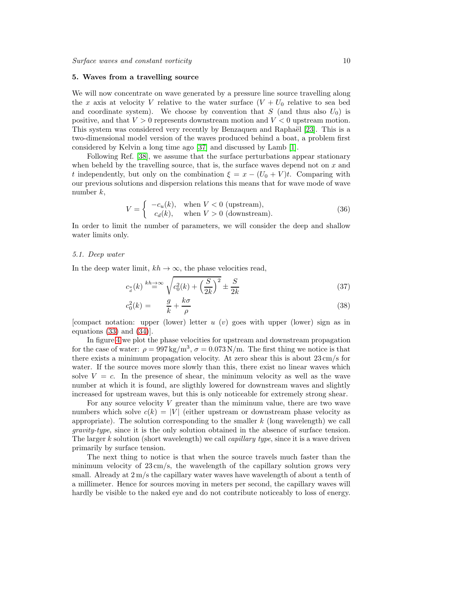## 5. Waves from a travelling source

We will now concentrate on wave generated by a pressure line source travelling along the x axis at velocity V relative to the water surface  $(V + U_0)$  relative to sea bed and coordinate system). We choose by convention that  $S$  (and thus also  $U_0$ ) is positive, and that  $V > 0$  represents downstream motion and  $V < 0$  upstream motion. This system was considered very recently by Benzaquen and Raphaël [\[23\]](#page-15-5). This is a two-dimensional model version of the waves produced behind a boat, a problem first considered by Kelvin a long time ago [\[37\]](#page-15-16) and discussed by Lamb [\[1\]](#page-14-0).

Following Ref. [\[38\]](#page-15-17), we assume that the surface perturbations appear stationary when beheld by the travelling source, that is, the surface waves depend not on  $x$  and t independently, but only on the combination  $\xi = x - (U_0 + V)t$ . Comparing with our previous solutions and dispersion relations this means that for wave mode of wave number k,

$$
V = \begin{cases} -c_u(k), & \text{when } V < 0 \text{ (upstream)},\\ c_d(k), & \text{when } V > 0 \text{ (downstream)}. \end{cases}
$$
 (36)

In order to limit the number of parameters, we will consider the deep and shallow water limits only.

#### 5.1. Deep water

In the deep water limit,  $kh \to \infty$ , the phase velocities read,

<span id="page-9-0"></span>
$$
c_u(k) \stackrel{k h \to \infty}{=} \sqrt{c_0^2(k) + \left(\frac{S}{2k}\right)^2} \pm \frac{S}{2k}
$$
 (37)

$$
c_0^2(k) = \frac{g}{k} + \frac{k\sigma}{\rho} \tag{38}
$$

[compact notation: upper (lower) letter  $u(v)$  goes with upper (lower) sign as in equations [\(33\)](#page-8-1) and [\(34\)](#page-8-1)].

In figure [4](#page-10-0) we plot the phase velocities for upstream and downstream propagation for the case of water:  $\rho = 997 \text{ kg/m}^3$ ,  $\sigma = 0.073 \text{ N/m}$ . The first thing we notice is that there exists a minimum propagation velocity. At zero shear this is about 23 cm/s for water. If the source moves more slowly than this, there exist no linear waves which solve  $V = c$ . In the presence of shear, the minimum velocity as well as the wave number at which it is found, are sligthly lowered for downstream waves and slightly increased for upstream waves, but this is only noticeable for extremely strong shear.

For any source velocity  $V$  greater than the miminum value, there are two wave numbers which solve  $c(k) = |V|$  (either upstream or downstream phase velocity as appropriate). The solution corresponding to the smaller  $k$  (long wavelength) we call gravity-type, since it is the only solution obtained in the absence of surface tension. The larger k solution (short wavelength) we call *capillary type*, since it is a wave driven primarily by surface tension.

The next thing to notice is that when the source travels much faster than the minimum velocity of  $23 \text{ cm/s}$ , the wavelength of the capillary solution grows very small. Already at  $2 \text{ m/s}$  the capillary water waves have wavelength of about a tenth of a millimeter. Hence for sources moving in meters per second, the capillary waves will hardly be visible to the naked eye and do not contribute noticeably to loss of energy.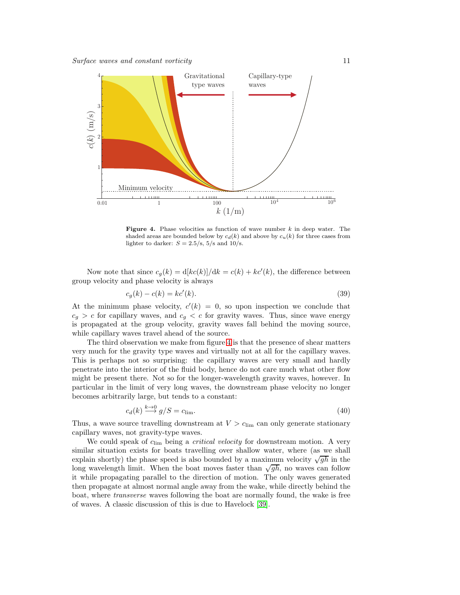

<span id="page-10-0"></span>**Figure 4.** Phase velocities as function of wave number  $k$  in deep water. The shaded areas are bounded below by  $c_d(k)$  and above by  $c_u(k)$  for three cases from lighter to darker:  $S = 2.5/s$ , 5/s and 10/s.

Now note that since  $c_g(k) = d[kc(k)]/dk = c(k) + kc'(k)$ , the difference between group velocity and phase velocity is always

$$
c_g(k) - c(k) = kc'(k). \tag{39}
$$

At the minimum phase velocity,  $c'(k) = 0$ , so upon inspection we conclude that  $c_q > c$  for capillary waves, and  $c_q < c$  for gravity waves. Thus, since wave energy is propagated at the group velocity, gravity waves fall behind the moving source, while capillary waves travel ahead of the source.

The third observation we make from figure [4](#page-10-0) is that the presence of shear matters very much for the gravity type waves and virtually not at all for the capillary waves. This is perhaps not so surprising: the capillary waves are very small and hardly penetrate into the interior of the fluid body, hence do not care much what other flow might be present there. Not so for the longer-wavelength gravity waves, however. In particular in the limit of very long waves, the downstream phase velocity no longer becomes arbitrarily large, but tends to a constant:

$$
c_d(k) \stackrel{k \to 0}{\longrightarrow} g/S = c_{\lim}.
$$
\n(40)

Thus, a wave source travelling downstream at  $V > c_{\text{lim}}$  can only generate stationary capillary waves, not gravity-type waves.

We could speak of  $c_{\text{lim}}$  being a *critical velocity* for downstream motion. A very similar situation exists for boats travelling over shallow water, where (as we shall explain shortly) the phase speed is also bounded by a maximum velocity  $\sqrt{gh}$  in the long wavelength limit. When the boat moves faster than  $\sqrt{gh}$ , no waves can follow it while propagating parallel to the direction of motion. The only waves generated then propagate at almost normal angle away from the wake, while directly behind the boat, where transverse waves following the boat are normally found, the wake is free of waves. A classic discussion of this is due to Havelock [\[39\]](#page-15-18).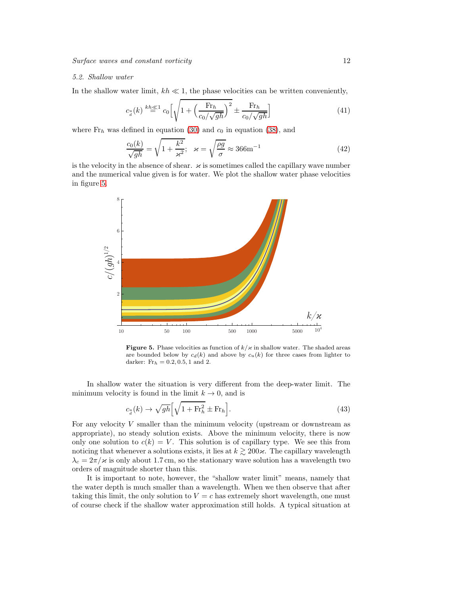#### 5.2. Shallow water

In the shallow water limit,  $kh \ll 1$ , the phase velocities can be written conveniently,

$$
c_u(k) \stackrel{kh \ll 1}{=} c_0 \left[ \sqrt{1 + \left( \frac{\text{Fr}_h}{c_0 / \sqrt{gh}} \right)^2} \pm \frac{\text{Fr}_h}{c_0 / \sqrt{gh}} \right] \tag{41}
$$

where  $Fr_h$  was defined in equation [\(30\)](#page-6-1) and  $c_0$  in equation [\(38\)](#page-9-0), and

$$
\frac{c_0(k)}{\sqrt{gh}} = \sqrt{1 + \frac{k^2}{\varkappa^2}}; \quad \varkappa = \sqrt{\frac{\rho g}{\sigma}} \approx 366 \text{m}^{-1}
$$
\n<sup>(42)</sup>

is the velocity in the absence of shear.  $\varkappa$  is sometimes called the capillary wave number and the numerical value given is for water. We plot the shallow water phase velocities in figure [5.](#page-11-0)



<span id="page-11-0"></span>**Figure 5.** Phase velocities as function of  $k/x$  in shallow water. The shaded areas are bounded below by  $c_d(k)$  and above by  $c_u(k)$  for three cases from lighter to darker:  $Fr_h = 0.2, 0.5, 1$  and 2.

In shallow water the situation is very different from the deep-water limit. The minimum velocity is found in the limit  $k \to 0$ , and is

$$
c_u(k) \to \sqrt{gh} \Big[ \sqrt{1 + \text{Fr}_h^2} \pm \text{Fr}_h \Big]. \tag{43}
$$

For any velocity V smaller than the minimum velocity (upstream or downstream as appropriate), no steady solution exists. Above the minimum velocity, there is now only one solution to  $c(k) = V$ . This solution is of capillary type. We see this from noticing that whenever a solutions exists, it lies at  $k \geq 200 \times$ . The capillary wavelength  $\lambda_c = 2\pi/\varkappa$  is only about 1.7 cm, so the stationary wave solution has a wavelength two orders of magnitude shorter than this.

It is important to note, however, the "shallow water limit" means, namely that the water depth is much smaller than a wavelength. When we then observe that after taking this limit, the only solution to  $V = c$  has extremely short wavelength, one must of course check if the shallow water approximation still holds. A typical situation at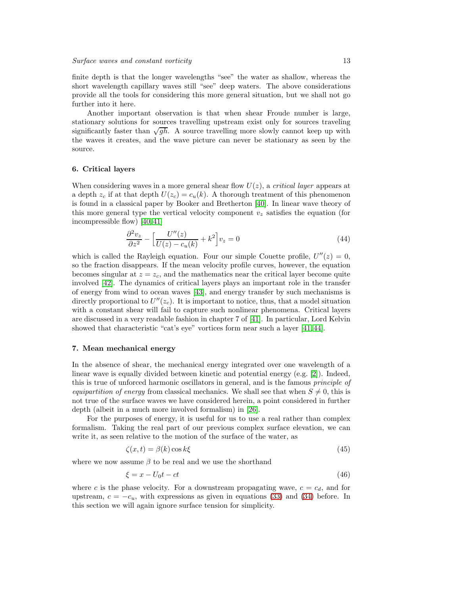finite depth is that the longer wavelengths "see" the water as shallow, whereas the short wavelength capillary waves still "see" deep waters. The above considerations provide all the tools for considering this more general situation, but we shall not go further into it here.

Another important observation is that when shear Froude number is large, stationary solutions for sources travelling upstream exist only for sources traveling significantly faster than  $\sqrt{gh}$ . A source travelling more slowly cannot keep up with the waves it creates, and the wave picture can never be stationary as seen by the source.

## 6. Critical layers

When considering waves in a more general shear flow  $U(z)$ , a *critical layer* appears at a depth  $z_c$  if at that depth  $U(z_c) = c_u(k)$ . A thorough treatment of this phenomenon is found in a classical paper by Booker and Bretherton [\[40\]](#page-15-19). In linear wave theory of this more general type the vertical velocity component  $v<sub>z</sub>$  satisfies the equation (for incompressible flow) [\[40,](#page-15-19) [41\]](#page-15-20)

$$
\frac{\partial^2 v_z}{\partial z^2} - \left[ \frac{U''(z)}{U(z) - c_u(k)} + k^2 \right] v_z = 0 \tag{44}
$$

which is called the Rayleigh equation. Four our simple Couette profile,  $U''(z) = 0$ , so the fraction disappears. If the mean velocity profile curves, however, the equation becomes singular at  $z = z_c$ , and the mathematics near the critical layer become quite involved [\[42\]](#page-15-21). The dynamics of critical layers plays an important role in the transfer of energy from wind to ocean waves [\[43\]](#page-15-22), and energy transfer by such mechanisms is directly proportional to  $U''(z_c)$ . It is important to notice, thus, that a model situation with a constant shear will fail to capture such nonlinear phenomena. Critical layers are discussed in a very readable fashion in chapter 7 of [\[41\]](#page-15-20). In particular, Lord Kelvin showed that characteristic "cat's eye" vortices form near such a layer [\[41,](#page-15-20) [44\]](#page-15-23).

## 7. Mean mechanical energy

In the absence of shear, the mechanical energy integrated over one wavelength of a linear wave is equally divided between kinetic and potential energy (e.g. [\[2\]](#page-14-1)). Indeed, this is true of unforced harmonic oscillators in general, and is the famous principle of equipartition of energy from classical mechanics. We shall see that when  $S \neq 0$ , this is not true of the surface waves we have considered herein, a point considered in further depth (albeit in a much more involved formalism) in [\[26\]](#page-15-8).

For the purposes of energy, it is useful for us to use a real rather than complex formalism. Taking the real part of our previous complex surface elevation, we can write it, as seen relative to the motion of the surface of the water, as

$$
\zeta(x,t) = \beta(k)\cos k\xi\tag{45}
$$

where we now assume  $\beta$  to be real and we use the shorthand

$$
\xi = x - U_0 t - ct \tag{46}
$$

where c is the phase velocity. For a downstream propagating wave,  $c = c_d$ , and for upstream,  $c = -c_u$ , with expressions as given in equations [\(33\)](#page-8-1) and [\(34\)](#page-8-1) before. In this section we will again ignore surface tension for simplicity.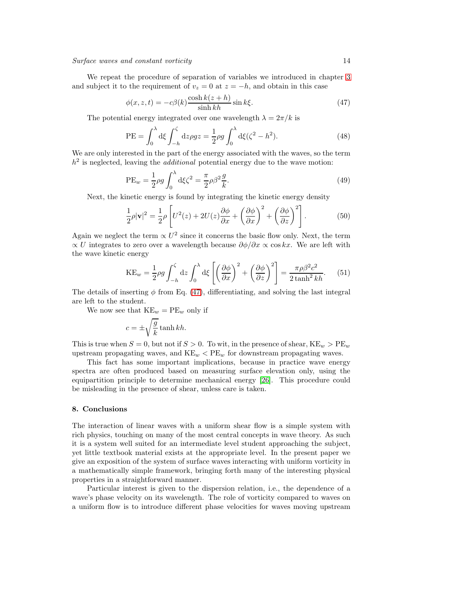We repeat the procedure of separation of variables we introduced in chapter [3](#page-5-2) and subject it to the requirement of  $v_z = 0$  at  $z = -h$ , and obtain in this case

<span id="page-13-0"></span>
$$
\phi(x, z, t) = -c\beta(k) \frac{\cosh k(z+h)}{\sinh kh} \sin k\xi.
$$
\n(47)

The potential energy integrated over one wavelength  $\lambda = 2\pi/k$  is

PE = 
$$
\int_0^{\lambda} d\xi \int_{-h}^{\zeta} dz \rho gz = \frac{1}{2} \rho g \int_0^{\lambda} d\xi (\zeta^2 - h^2).
$$
 (48)

We are only interested in the part of the energy associated with the waves, so the term  $h<sup>2</sup>$  is neglected, leaving the *additional* potential energy due to the wave motion:

$$
PE_w = \frac{1}{2}\rho g \int_0^\lambda d\xi \zeta^2 = \frac{\pi}{2}\rho \beta^2 \frac{g}{k}.
$$
\n(49)

Next, the kinetic energy is found by integrating the kinetic energy density

$$
\frac{1}{2}\rho|\mathbf{v}|^2 = \frac{1}{2}\rho \left[ U^2(z) + 2U(z)\frac{\partial\phi}{\partial x} + \left(\frac{\partial\phi}{\partial x}\right)^2 + \left(\frac{\partial\phi}{\partial z}\right)^2 \right].
$$
 (50)

Again we neglect the term  $\propto U^2$  since it concerns the basic flow only. Next, the term  $\propto U$  integrates to zero over a wavelength because  $\partial \phi / \partial x \propto \cos kx$ . We are left with the wave kinetic energy

$$
KE_w = \frac{1}{2}\rho g \int_{-h}^{\zeta} dz \int_0^{\lambda} d\xi \left[ \left( \frac{\partial \phi}{\partial x} \right)^2 + \left( \frac{\partial \phi}{\partial z} \right)^2 \right] = \frac{\pi \rho \beta^2 c^2}{2 \tanh^2 kh}.
$$
 (51)

The details of inserting  $\phi$  from Eq. [\(47\)](#page-13-0), differentiating, and solving the last integral are left to the student.

We now see that  $KE_w = PE_w$  only if

$$
c = \pm \sqrt{\frac{g}{k}} \tanh kh.
$$

This is true when  $S = 0$ , but not if  $S > 0$ . To wit, in the presence of shear,  $KE_w > PE_w$ upstream propagating waves, and  $KE_w < PE_w$  for downstream propagating waves.

This fact has some important implications, because in practice wave energy spectra are often produced based on measuring surface elevation only, using the equipartition principle to determine mechanical energy [\[26\]](#page-15-8). This procedure could be misleading in the presence of shear, unless care is taken.

## 8. Conclusions

The interaction of linear waves with a uniform shear flow is a simple system with rich physics, touching on many of the most central concepts in wave theory. As such it is a system well suited for an intermediate level student approaching the subject, yet little textbook material exists at the appropriate level. In the present paper we give an exposition of the system of surface waves interacting with uniform vorticity in a mathematically simple framework, bringing forth many of the interesting physical properties in a straightforward manner.

Particular interest is given to the dispersion relation, i.e., the dependence of a wave's phase velocity on its wavelength. The role of vorticity compared to waves on a uniform flow is to introduce different phase velocities for waves moving upstream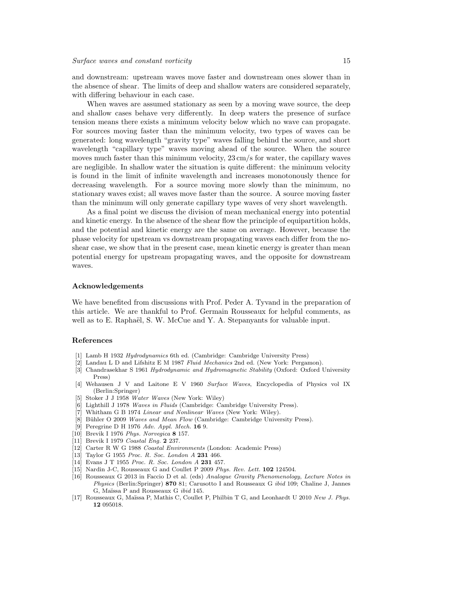and downstream: upstream waves move faster and downstream ones slower than in the absence of shear. The limits of deep and shallow waters are considered separately, with differing behaviour in each case.

When waves are assumed stationary as seen by a moving wave source, the deep and shallow cases behave very differently. In deep waters the presence of surface tension means there exists a minimum velocity below which no wave can propagate. For sources moving faster than the minimum velocity, two types of waves can be generated: long wavelength "gravity type" waves falling behind the source, and short wavelength "capillary type" waves moving ahead of the source. When the source moves much faster than this minimum velocity, 23 cm/s for water, the capillary waves are negligible. In shallow water the situation is quite different: the minimum velocity is found in the limit of infinite wavelength and increases monotonously thence for decreasing wavelength. For a source moving more slowly than the minimum, no stationary waves exist; all waves move faster than the source. A source moving faster than the minimum will only generate capillary type waves of very short wavelength.

As a final point we discuss the division of mean mechanical energy into potential and kinetic energy. In the absence of the shear flow the principle of equipartition holds, and the potential and kinetic energy are the same on average. However, because the phase velocity for upstream vs downstream propagating waves each differ from the noshear case, we show that in the present case, mean kinetic energy is greater than mean potential energy for upstream propagating waves, and the opposite for downstream waves.

## Acknowledgements

We have benefited from discussions with Prof. Peder A. Tyvand in the preparation of this article. We are thankful to Prof. Germain Rousseaux for helpful comments, as well as to E. Raphaël, S. W. McCue and Y. A. Stepanyants for valuable input.

#### References

- <span id="page-14-1"></span><span id="page-14-0"></span>[1] Lamb H 1932 Hydrodynamics 6th ed. (Cambridge: Cambridge University Press)
- <span id="page-14-2"></span>[2] Landau L D and Lifshitz E M 1987 Fluid Mechanics 2nd ed. (New York: Pergamon).
- [3] Chandrasekhar S 1961 Hydrodynamic and Hydromagnetic Stability (Oxford: Oxford University Press)
- <span id="page-14-3"></span>[4] Wehausen J V and Laitone E V 1960 Surface Waves, Encyclopedia of Physics vol IX (Berlin:Springer)
- <span id="page-14-5"></span><span id="page-14-4"></span>[5] Stoker J J 1958 Water Waves (New York: Wiley)
- <span id="page-14-6"></span>[6] Lighthill J 1978 Waves in Fluids (Cambridge: Cambridge University Press).
- <span id="page-14-7"></span>[7] Whitham G B 1974 Linear and Nonlinear Waves (New York: Wiley).
- <span id="page-14-8"></span>[8] Bühler O 2009 Waves and Mean Flow (Cambridge: Cambridge University Press).
- <span id="page-14-9"></span>[9] Peregrine D H 1976 Adv. Appl. Mech. 16 9.
- <span id="page-14-10"></span>[10] Brevik I 1976 Phys. Norvegica 8 157.
- <span id="page-14-11"></span>[11] Brevik I 1979 *Coastal Eng.* 2 237.
- <span id="page-14-13"></span>[12] Carter R W G 1988 Coastal Environments (London: Academic Press)
- <span id="page-14-12"></span>[13] Taylor G 1955 Proc. R. Soc. London A 231 466.
- <span id="page-14-14"></span>[14] Evans J T 1955 Proc. R. Soc. London A 231 457.
- <span id="page-14-15"></span>[15] Nardin J-C, Rousseaux G and Coullet P 2009 Phys. Rev. Lett. 102 124504.
- [16] Rousseaux G 2013 in Faccio D et al. (eds) Analogue Gravity Phenomenology, Lecture Notes in Physics (Berlin:Springer) 870 81; Carusotto I and Rousseaux G ibid 109; Chaline J, Jannes G, Maïssa P and Rousseaux G *ibid* 145.
- <span id="page-14-16"></span>[17] Rousseaux G, Maïssa P, Mathis C, Coullet P, Philbin T G, and Leonhardt U 2010 New J. Phys. 12 095018.